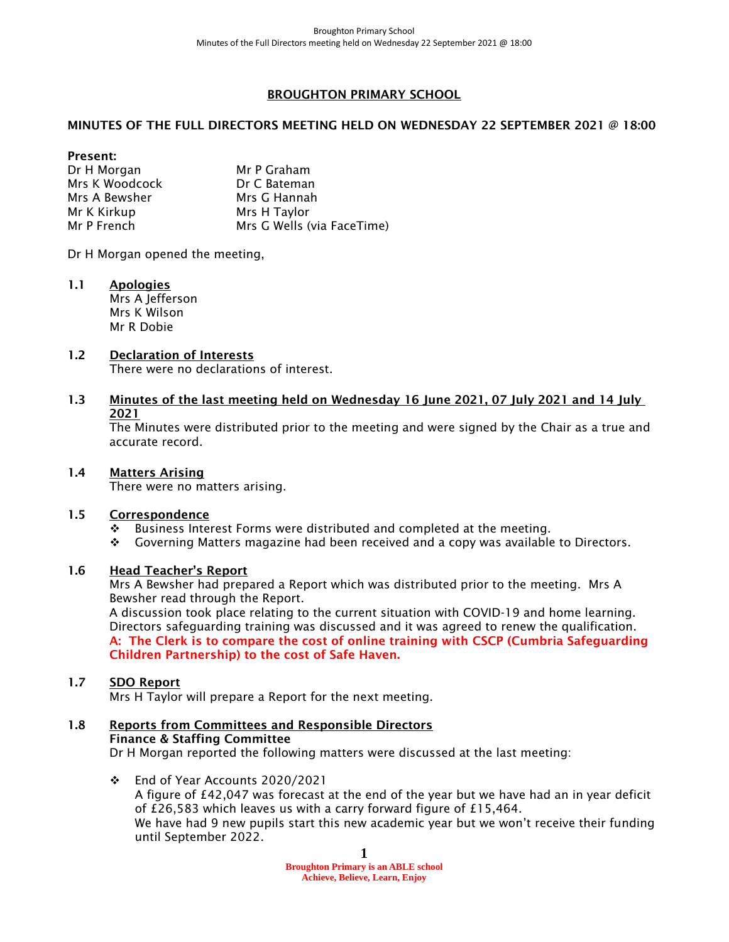## BROUGHTON PRIMARY SCHOOL

## MINUTES OF THE FULL DIRECTORS MEETING HELD ON WEDNESDAY 22 SEPTEMBER 2021 @ 18:00

Present: Dr H Morgan Mr P Graham<br>Mrs K Woodcock Dr C Bateman Mrs K Woodcock Mrs A Bewsher Mrs G Hannah Mr K Kirkup Mrs H Taylor Mr P French Mrs G Wells (via FaceTime)

Dr H Morgan opened the meeting,

1.1 Apologies Mrs A Jefferson Mrs K Wilson Mr R Dobie

#### 1.2 Declaration of Interests There were no declarations of interest.

1.3 Minutes of the last meeting held on Wednesday 16 June 2021, 07 July 2021 and 14 July 2021

The Minutes were distributed prior to the meeting and were signed by the Chair as a true and accurate record.

### 1.4 Matters Arising

There were no matters arising.

### 1.5 Correspondence

- ❖ Business Interest Forms were distributed and completed at the meeting.
- ❖ Governing Matters magazine had been received and a copy was available to Directors.

### 1.6 Head Teacher's Report

Mrs A Bewsher had prepared a Report which was distributed prior to the meeting. Mrs A Bewsher read through the Report.

A discussion took place relating to the current situation with COVID-19 and home learning. Directors safeguarding training was discussed and it was agreed to renew the qualification. A: The Clerk is to compare the cost of online training with CSCP (Cumbria Safeguarding Children Partnership) to the cost of Safe Haven.

### 1.7 SDO Report

Mrs H Taylor will prepare a Report for the next meeting.

#### 1.8 Reports from Committees and Responsible Directors Finance & Staffing Committee

Dr H Morgan reported the following matters were discussed at the last meeting:

❖ End of Year Accounts 2020/2021 A figure of £42,047 was forecast at the end of the year but we have had an in year deficit of £26,583 which leaves us with a carry forward figure of £15,464. We have had 9 new pupils start this new academic year but we won't receive their funding until September 2022.

> **1 Broughton Primary is an ABLE school Achieve, Believe, Learn, Enjoy**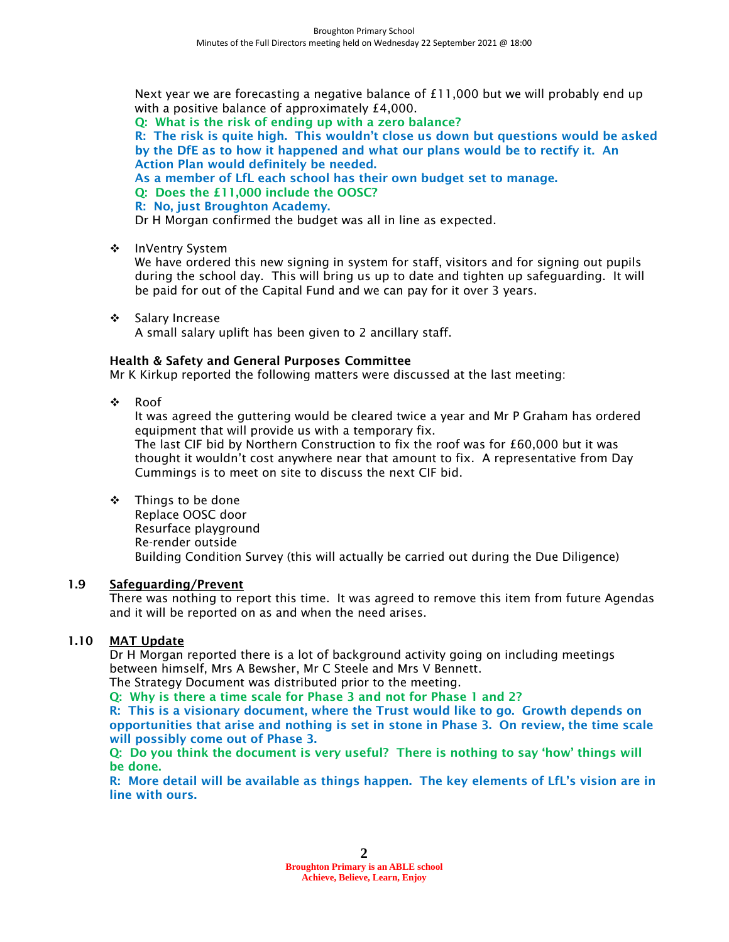Next year we are forecasting a negative balance of £11,000 but we will probably end up with a positive balance of approximately £4,000.

Q: What is the risk of ending up with a zero balance?

R: The risk is quite high. This wouldn't close us down but questions would be asked by the DfE as to how it happened and what our plans would be to rectify it. An Action Plan would definitely be needed.

As a member of LfL each school has their own budget set to manage.

- Q: Does the £11,000 include the OOSC?
- R: No, just Broughton Academy.

Dr H Morgan confirmed the budget was all in line as expected.

❖ InVentry System

We have ordered this new signing in system for staff, visitors and for signing out pupils during the school day. This will bring us up to date and tighten up safeguarding. It will be paid for out of the Capital Fund and we can pay for it over 3 years.

❖ Salary Increase A small salary uplift has been given to 2 ancillary staff.

## Health & Safety and General Purposes Committee

Mr K Kirkup reported the following matters were discussed at the last meeting:

❖ Roof

It was agreed the guttering would be cleared twice a year and Mr P Graham has ordered equipment that will provide us with a temporary fix.

The last CIF bid by Northern Construction to fix the roof was for £60,000 but it was thought it wouldn't cost anywhere near that amount to fix. A representative from Day Cummings is to meet on site to discuss the next CIF bid.

### ❖ Things to be done Replace OOSC door Resurface playground Re-render outside Building Condition Survey (this will actually be carried out during the Due Diligence)

## 1.9 Safeguarding/Prevent

There was nothing to report this time. It was agreed to remove this item from future Agendas and it will be reported on as and when the need arises.

# 1.10 MAT Update

Dr H Morgan reported there is a lot of background activity going on including meetings between himself, Mrs A Bewsher, Mr C Steele and Mrs V Bennett.

The Strategy Document was distributed prior to the meeting.

Q: Why is there a time scale for Phase 3 and not for Phase 1 and 2?

R: This is a visionary document, where the Trust would like to go. Growth depends on opportunities that arise and nothing is set in stone in Phase 3. On review, the time scale will possibly come out of Phase 3.

Q: Do you think the document is very useful? There is nothing to say 'how' things will be done.

R: More detail will be available as things happen. The key elements of LfL's vision are in line with ours.